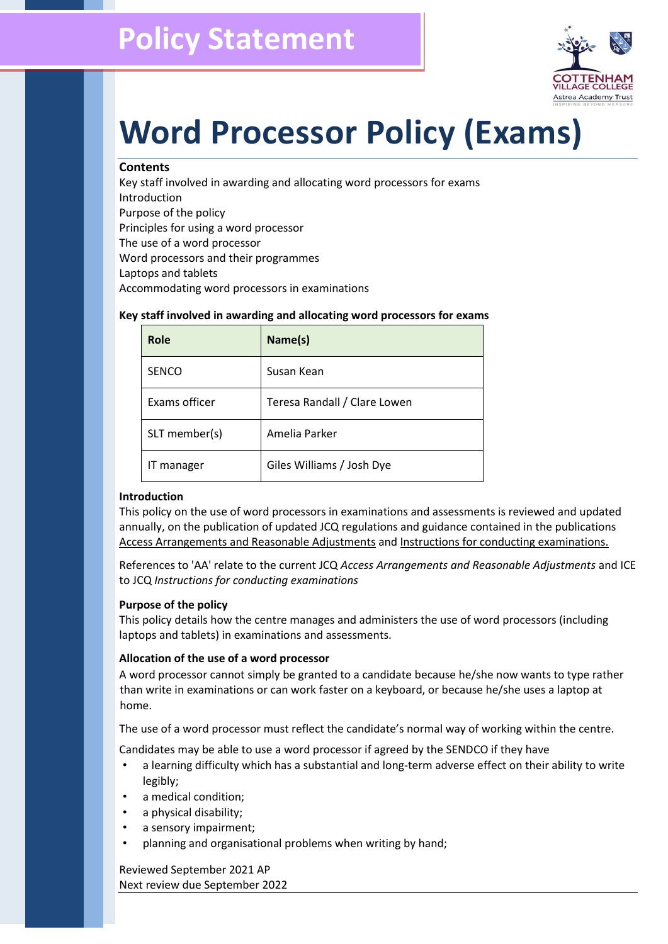

# **Word Processor Policy (Exams)**

#### **Contents**

Key staff involved in awarding and allocating word processors for exams Introduction Purpose of the policy Principles for using a word processor The use of a word processor Word processors and their programmes Laptops and tablets Accommodating word processors in examinations

| Role          | Name(s)                      |
|---------------|------------------------------|
| <b>SENCO</b>  | Susan Kean                   |
| Exams officer | Teresa Randall / Clare Lowen |
| SLT member(s) | Amelia Parker                |
| IT manager    | Giles Williams / Josh Dye    |

#### **Key staff involved in awarding and allocating word processors for exams**

#### **Introduction**

This policy on the use of word processors in examinations and assessments is reviewed and updated annually, on the publication of updated JCQ regulations and guidance contained in the publications [Access Arrangements and Reasonable Adjustments](http://www.jcq.org.uk/exams-office/access-arrangements-and-special-consideration/regulations-and-guidance) an[d Instructions for conducting examinations.](http://www.jcq.org.uk/exams-office/ice---instructions-for-conducting-examinations) 

References to 'AA' relate to the current JCQ *Access Arrangements and Reasonable Adjustments* and ICE to JCQ *Instructions for conducting examinations* 

#### **Purpose of the policy**

This policy details how the centre manages and administers the use of word processors (including laptops and tablets) in examinations and assessments.

#### **Allocation of the use of a word processor**

A word processor cannot simply be granted to a candidate because he/she now wants to type rather than write in examinations or can work faster on a keyboard, or because he/she uses a laptop at home.

The use of a word processor must reflect the candidate's normal way of working within the centre.

Candidates may be able to use a word processor if agreed by the SENDCO if they have

- a learning difficulty which has a substantial and long-term adverse effect on their ability to write legibly;
- a medical condition;
- a physical disability;
- a sensory impairment;
- planning and organisational problems when writing by hand;

Reviewed September 2021 AP Next review due September 2022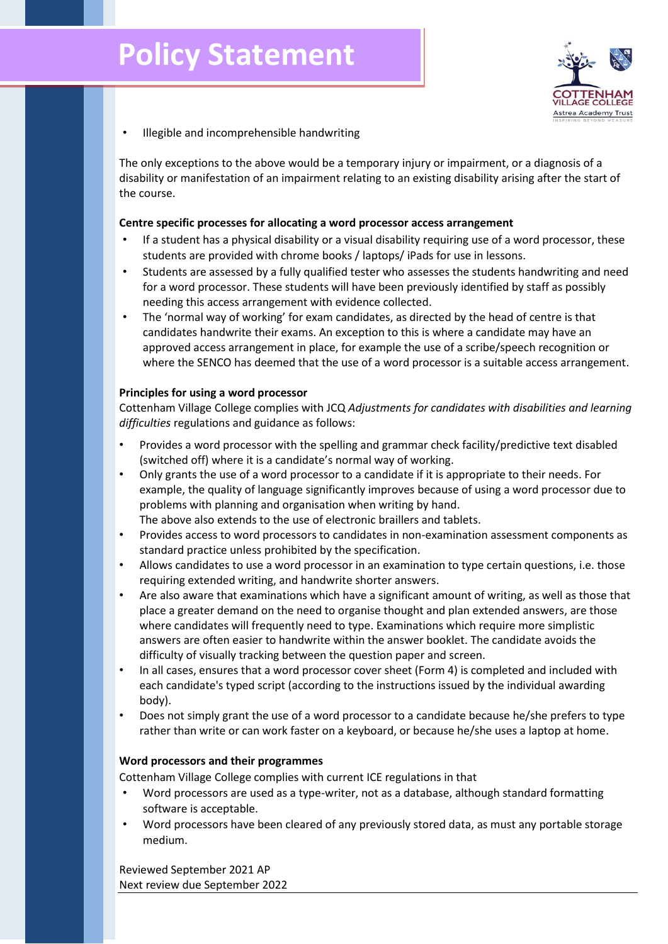

• Illegible and incomprehensible handwriting

The only exceptions to the above would be a temporary injury or impairment, or a diagnosis of a disability or manifestation of an impairment relating to an existing disability arising after the start of the course.

#### **Centre specific processes for allocating a word processor access arrangement**

- If a student has a physical disability or a visual disability requiring use of a word processor, these students are provided with chrome books / laptops/ iPads for use in lessons.
- Students are assessed by a fully qualified tester who assesses the students handwriting and need for a word processor. These students will have been previously identified by staff as possibly needing this access arrangement with evidence collected.
- The 'normal way of working' for exam candidates, as directed by the head of centre is that candidates handwrite their exams. An exception to this is where a candidate may have an approved access arrangement in place, for example the use of a scribe/speech recognition or where the SENCO has deemed that the use of a word processor is a suitable access arrangement.

#### **Principles for using a word processor**

Cottenham Village College complies with JCQ *Adjustments for candidates with disabilities and learning difficulties* regulations and guidance as follows:

- Provides a word processor with the spelling and grammar check facility/predictive text disabled (switched off) where it is a candidate's normal way of working.
- Only grants the use of a word processor to a candidate if it is appropriate to their needs. For example, the quality of language significantly improves because of using a word processor due to problems with planning and organisation when writing by hand. The above also extends to the use of electronic braillers and tablets.
- Provides access to word processors to candidates in non-examination assessment components as standard practice unless prohibited by the specification.
- Allows candidates to use a word processor in an examination to type certain questions, i.e. those requiring extended writing, and handwrite shorter answers.
- Are also aware that examinations which have a significant amount of writing, as well as those that place a greater demand on the need to organise thought and plan extended answers, are those where candidates will frequently need to type. Examinations which require more simplistic answers are often easier to handwrite within the answer booklet. The candidate avoids the difficulty of visually tracking between the question paper and screen.
- In all cases, ensures that a word processor cover sheet (Form 4) is completed and included with each candidate's typed script (according to the instructions issued by the individual awarding body).
- Does not simply grant the use of a word processor to a candidate because he/she prefers to type rather than write or can work faster on a keyboard, or because he/she uses a laptop at home.

#### **Word processors and their programmes**

Cottenham Village College complies with current ICE regulations in that

- Word processors are used as a type-writer, not as a database, although standard formatting software is acceptable.
- Word processors have been cleared of any previously stored data, as must any portable storage medium.

Reviewed September 2021 AP Next review due September 2022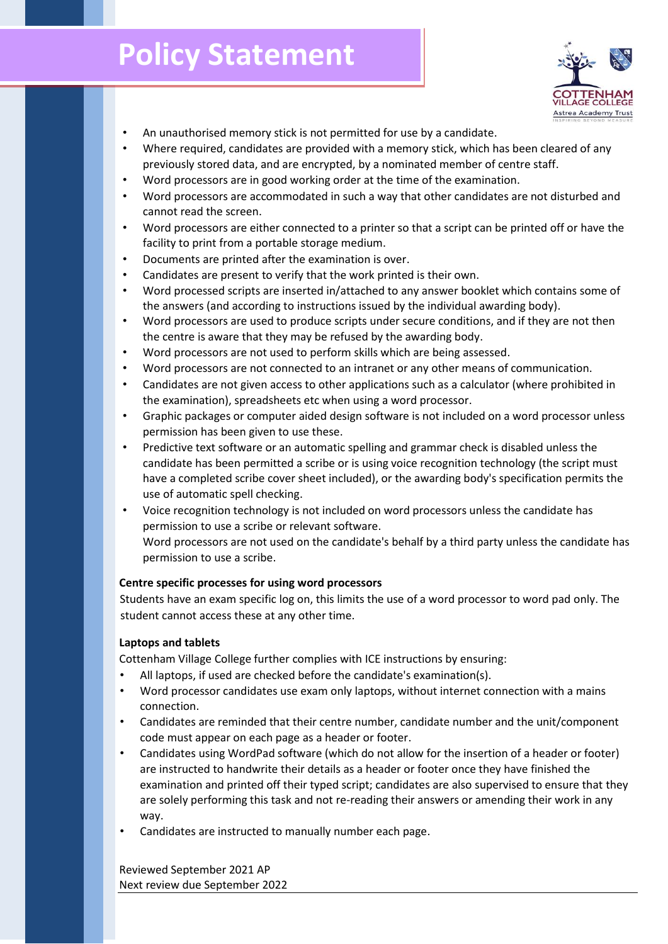## **Policy Statement**



- An unauthorised memory stick is not permitted for use by a candidate.
- Where required, candidates are provided with a memory stick, which has been cleared of any previously stored data, and are encrypted, by a nominated member of centre staff.
- Word processors are in good working order at the time of the examination.
- Word processors are accommodated in such a way that other candidates are not disturbed and cannot read the screen.
- Word processors are either connected to a printer so that a script can be printed off or have the facility to print from a portable storage medium.
- Documents are printed after the examination is over.
- Candidates are present to verify that the work printed is their own.
- Word processed scripts are inserted in/attached to any answer booklet which contains some of the answers (and according to instructions issued by the individual awarding body).
- Word processors are used to produce scripts under secure conditions, and if they are not then the centre is aware that they may be refused by the awarding body.
- Word processors are not used to perform skills which are being assessed.
- Word processors are not connected to an intranet or any other means of communication.
- Candidates are not given access to other applications such as a calculator (where prohibited in the examination), spreadsheets etc when using a word processor.
- Graphic packages or computer aided design software is not included on a word processor unless permission has been given to use these.
- Predictive text software or an automatic spelling and grammar check is disabled unless the candidate has been permitted a scribe or is using voice recognition technology (the script must have a completed scribe cover sheet included), or the awarding body's specification permits the use of automatic spell checking.
- Voice recognition technology is not included on word processors unless the candidate has permission to use a scribe or relevant software. Word processors are not used on the candidate's behalf by a third party unless the candidate has permission to use a scribe.

#### **Centre specific processes for using word processors**

Students have an exam specific log on, this limits the use of a word processor to word pad only. The student cannot access these at any other time.

#### **Laptops and tablets**

Cottenham Village College further complies with ICE instructions by ensuring:

- All laptops, if used are checked before the candidate's examination(s).
- Word processor candidates use exam only laptops, without internet connection with a mains connection.
- Candidates are reminded that their centre number, candidate number and the unit/component code must appear on each page as a header or footer.
- Candidates using WordPad software (which do not allow for the insertion of a header or footer) are instructed to handwrite their details as a header or footer once they have finished the examination and printed off their typed script; candidates are also supervised to ensure that they are solely performing this task and not re-reading their answers or amending their work in any way.
- Candidates are instructed to manually number each page.

Reviewed September 2021 AP Next review due September 2022